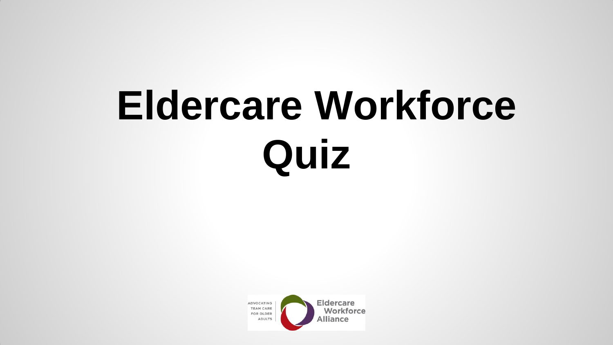# **Eldercare Workforce Quiz**

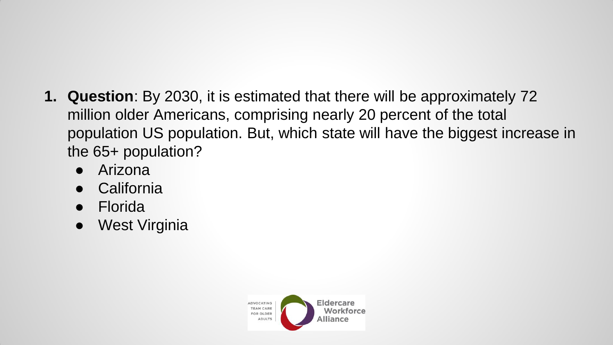- **1. Question**: By 2030, it is estimated that there will be approximately 72 million older Americans, comprising nearly 20 percent of the total population US population. But, which state will have the biggest increase in the 65+ population?
	- Arizona
	- **California**
	- **Florida**
	- **West Virginia**

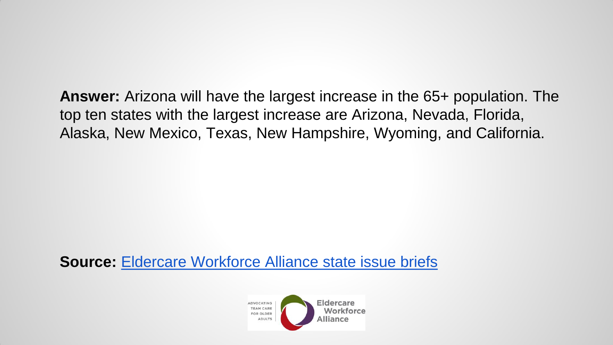**Answer:** Arizona will have the largest increase in the 65+ population. The top ten states with the largest increase are Arizona, Nevada, Florida, Alaska, New Mexico, Texas, New Hampshire, Wyoming, and California.

**Source:** [Eldercare Workforce Alliance state issue briefs](http://www.eldercareworkforce.org/research/issue-briefs/research:state-briefs/)

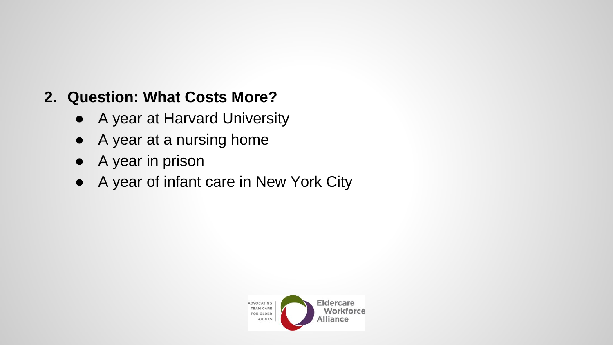#### **2. Question: What Costs More?**

- A year at Harvard University
- A year at a nursing home
- A year in prison
- A year of infant care in New York City

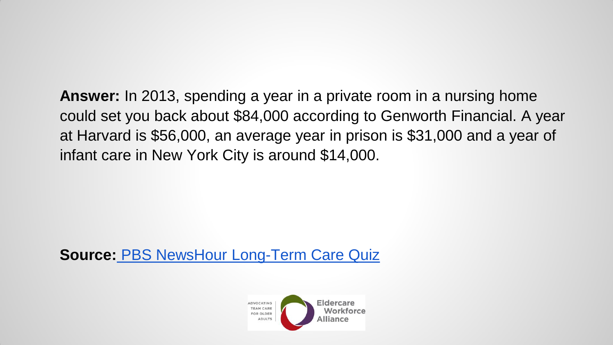**Answer:** In 2013, spending a year in a private room in a nursing home could set you back about \$84,000 according to Genworth Financial. A year at Harvard is \$56,000, an average year in prison is \$31,000 and a year of infant care in New York City is around \$14,000.

**Source[:](http://www.pbs.org/newshour/rundown/quiz-much-know-long-term-care/)** [PBS NewsHour Long-Term Care Quiz](http://www.pbs.org/newshour/rundown/quiz-much-know-long-term-care/)

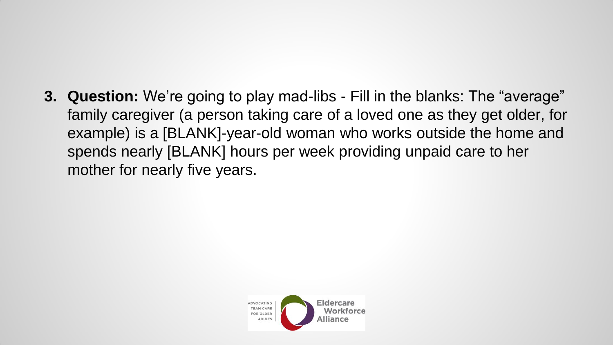**3. Question:** We're going to play mad-libs - Fill in the blanks: The "average" family caregiver (a person taking care of a loved one as they get older, for example) is a [BLANK]-year-old woman who works outside the home and spends nearly [BLANK] hours per week providing unpaid care to her mother for nearly five years.

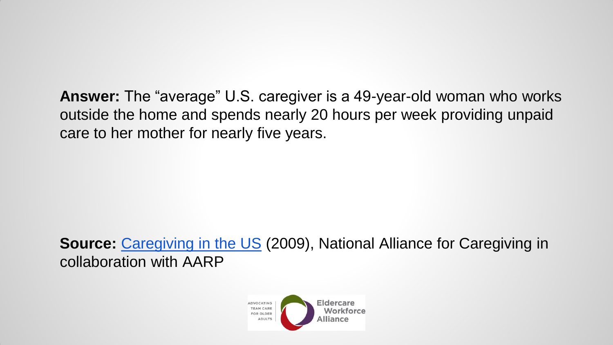**Answer:** The "average" U.S. caregiver is a 49-year-old woman who works outside the home and spends nearly 20 hours per week providing unpaid care to her mother for nearly five years.

**Source: [Caregiving in the US](http://www.caregiving.org/data/Caregiving_in_the_US_2009_full_report.pdf) (2009), National Alliance for Caregiving in** collaboration with AARP

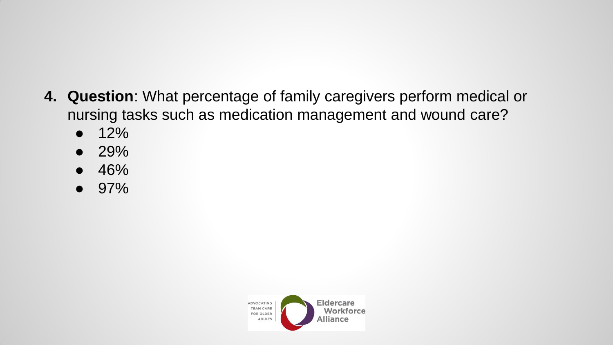- **4. Question**: What percentage of family caregivers perform medical or nursing tasks such as medication management and wound care?
	- $\bullet$  12%
	- $\bullet$  29%
	- 46%
	- 97%

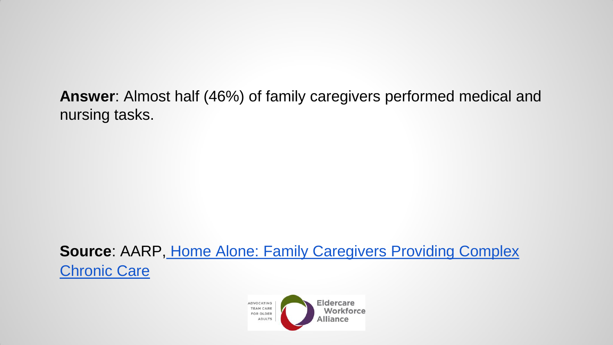**Answer**: Almost half (46%) of family caregivers performed medical and nursing tasks.

**Source**: AARP[,](http://www.aarp.org/content/dam/aarp/research/public_policy_institute/ltc/2012/home-alone-family-caregivers-providing-complex-chronic-care-in-brief-AARP-ppi-health.pdf) [Home Alone: Family Caregivers Providing Complex](http://www.aarp.org/content/dam/aarp/research/public_policy_institute/ltc/2012/home-alone-family-caregivers-providing-complex-chronic-care-in-brief-AARP-ppi-health.pdf)  **[Chronic Care](http://www.aarp.org/content/dam/aarp/research/public_policy_institute/ltc/2012/home-alone-family-caregivers-providing-complex-chronic-care-in-brief-AARP-ppi-health.pdf)** 

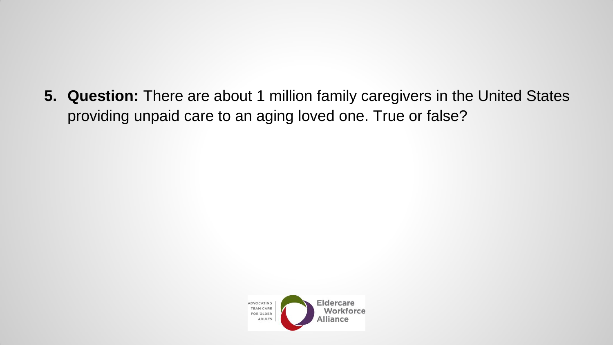**5. Question:** There are about 1 million family caregivers in the United States providing unpaid care to an aging loved one. True or false?

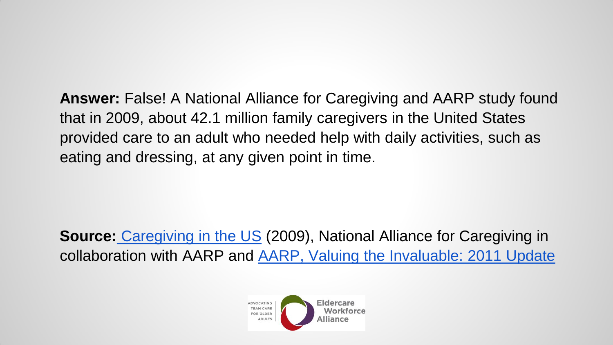**Answer:** False! A National Alliance for Caregiving and AARP study found that in 2009, about 42.1 million family caregivers in the United States provided care to an adult who needed help with daily activities, such as eating and dressing, at any given point in time.

**Source[:](http://assets.aarp.org/rgcenter/ppi/ltc/i51-caregiving.pdf)** [Caregiving in the US](http://www.caregiving.org/data/Caregiving_in_the_US_2009_full_report.pdf) (2009), National Alliance for Caregiving in collaboration with AARP and [AARP, Valuing the Invaluable: 2011 Update](http://assets.aarp.org/rgcenter/ppi/ltc/i51-caregiving.pdf)

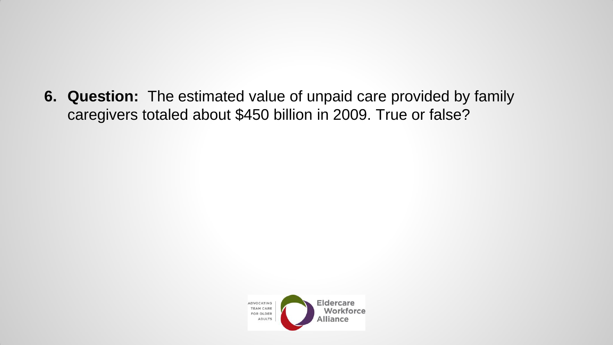**6. Question:** The estimated value of unpaid care provided by family caregivers totaled about \$450 billion in 2009. True or false?

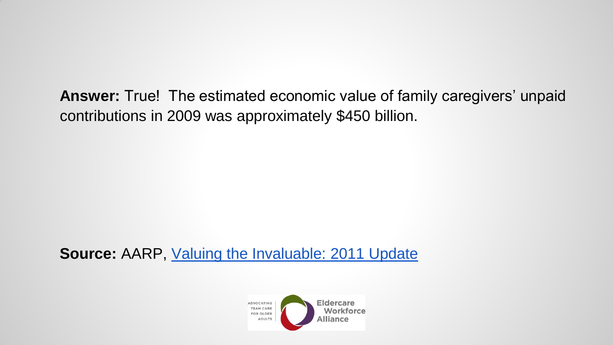**Answer:** True! The estimated economic value of family caregivers' unpaid contributions in 2009 was approximately \$450 billion.

**Source:** AARP, [Valuing the Invaluable: 2011 Update](http://assets.aarp.org/rgcenter/ppi/ltc/i51-caregiving.pdf)

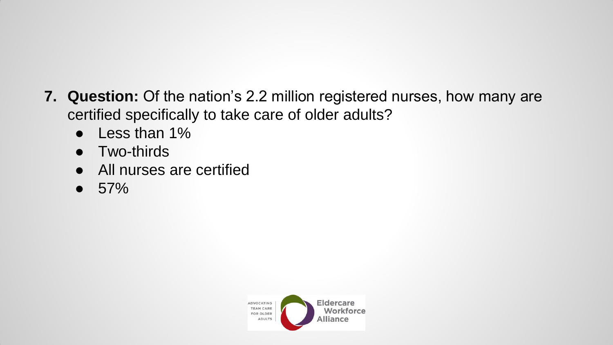- **7. Question:** Of the nation's 2.2 million registered nurses, how many are certified specifically to take care of older adults?
	- Less than 1%
	- Two-thirds
	- All nurses are certified
	- $57\%$

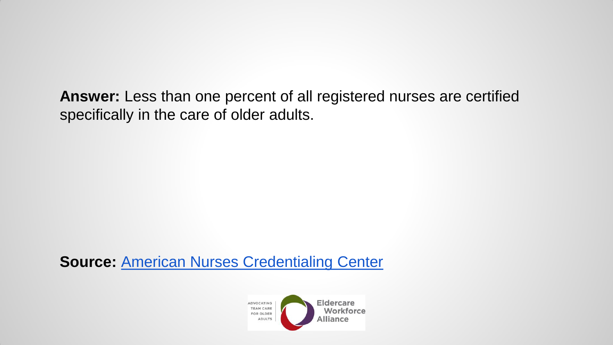**Answer:** Less than one percent of all registered nurses are certified specifically in the care of older adults.

**Source:** [American Nurses Credentialing Center](http://www.geronurseonline.org/MainMenuCategory/Certification/WhyGetCertified.html)

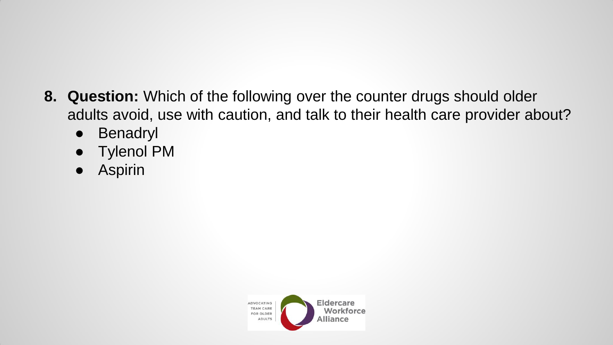- **8. Question:** Which of the following over the counter drugs should older adults avoid, use with caution, and talk to their health care provider about?
	- Benadryl
	- Tylenol PM
	- Aspirin

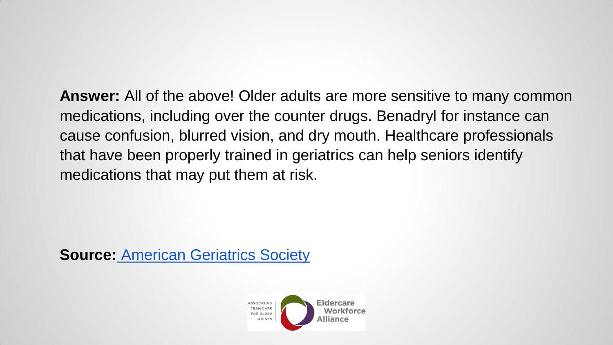**Answer:** All of the above! Older adults are more sensitive to many common medications, including over the counter drugs. Benadryl for instance can cause confusion, blurred vision, and dry mouth. Healthcare professionals that have been properly trained in geriatrics can help seniors identify medications that may put them at risk.

**Source[:](http://www.americangeriatrics.org/files/documents/beers/FHATipMEDS.pdf)** [American Geriatrics Society](http://www.americangeriatrics.org/files/documents/beers/FHATipMEDS.pdf) 

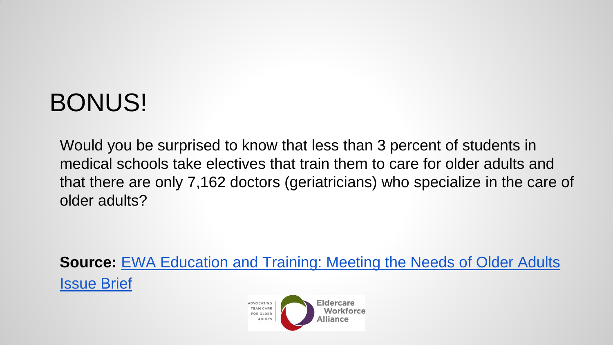### BONUS!

Would you be surprised to know that less than 3 percent of students in medical schools take electives that train them to care for older adults and that there are only 7,162 doctors (geriatricians) who specialize in the care of older adults?

**Source: EWA Education and Training: Meeting the Needs of Older Adults** [Issue Brief](http://www.eldercareworkforce.org/research/issue-briefs/research:education-and-training/)

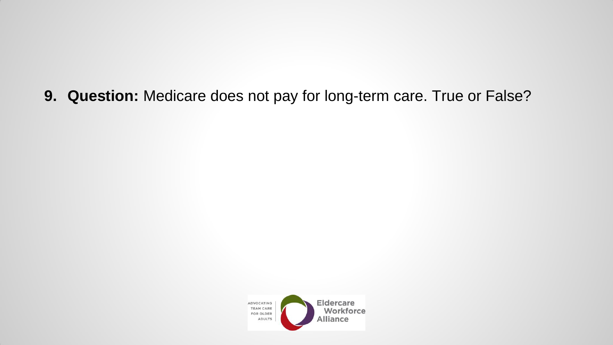**9. Question:** Medicare does not pay for long-term care. True or False?

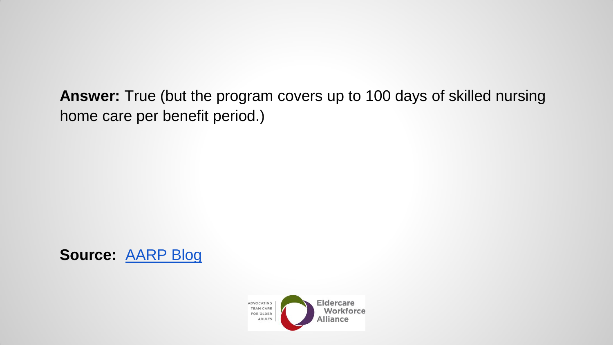**Answer:** True (but the program covers up to 100 days of skilled nursing home care per benefit period.)



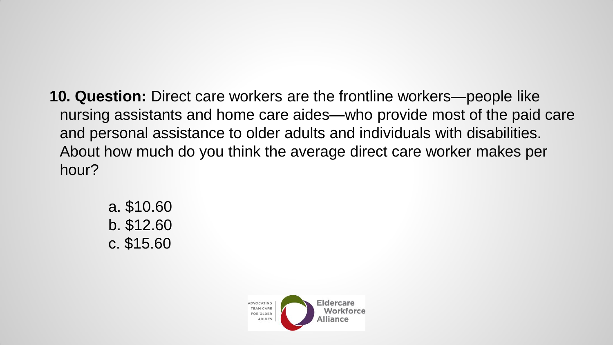- **10. Question:** Direct care workers are the frontline workers—people like nursing assistants and home care aides—who provide most of the paid care and personal assistance to older adults and individuals with disabilities. About how much do you think the average direct care worker makes per hour?
	- a. \$10.60 b. \$12.60 c. \$15.60

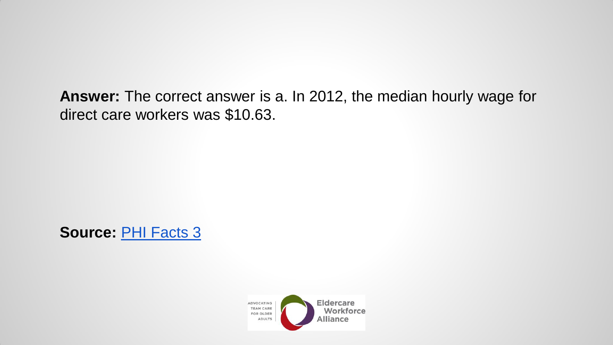**Answer:** The correct answer is a. In 2012, the median hourly wage for direct care workers was \$10.63.

**Source:** [PHI Facts 3](http://phinational.org/sites/phinational.org/files/phi-facts-3.pdf)

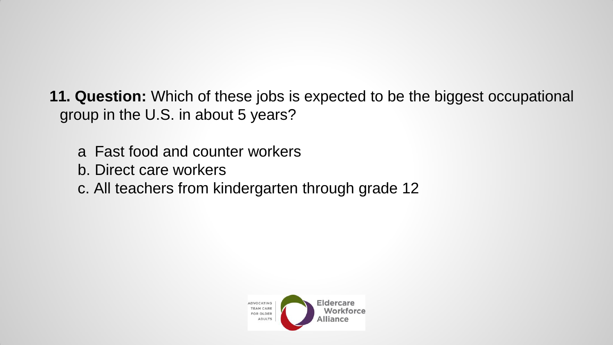**11. Question:** Which of these jobs is expected to be the biggest occupational group in the U.S. in about 5 years?

- a Fast food and counter workers
- b. Direct care workers
- c. All teachers from kindergarten through grade 12

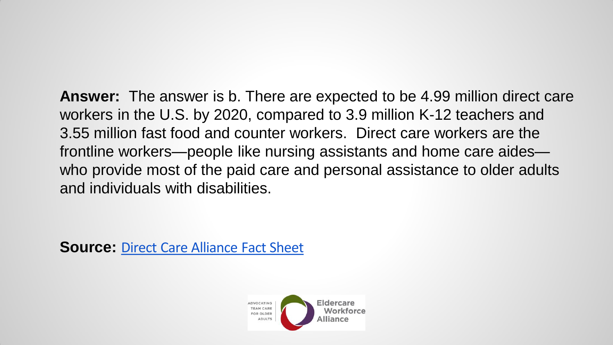**Answer:** The answer is b. There are expected to be 4.99 million direct care workers in the U.S. by 2020, compared to 3.9 million K-12 teachers and 3.55 million fast food and counter workers. Direct care workers are the frontline workers—people like nursing assistants and home care aides who provide most of the paid care and personal assistance to older adults and individuals with disabilities.

**Source: [Direct Care Alliance Fact Sheet](https://www.directcarealliance.org/document/docWindow.cfm?fuseaction=document.viewDocument&documentid=64&documentFormatId=68)**